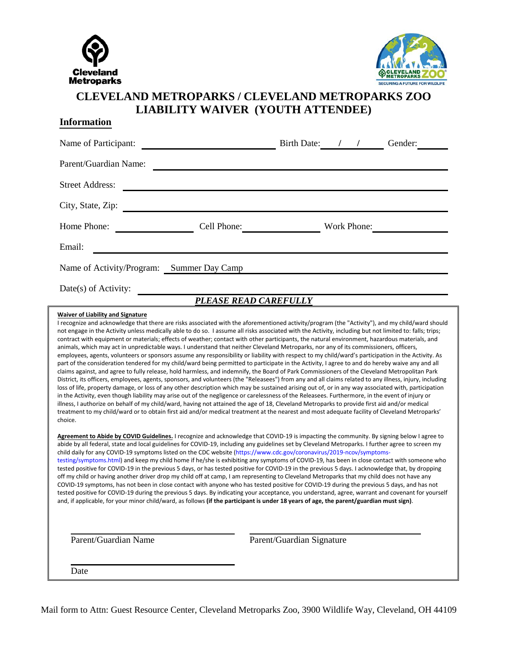



## **CLEVELAND METROPARKS / CLEVELAND METROPARKS ZOO LIABILITY WAIVER (YOUTH ATTENDEE)**

### **Information**

| Name of Participant:      |                 | <b>Birth Date:</b> |             | Gender: |
|---------------------------|-----------------|--------------------|-------------|---------|
| Parent/Guardian Name:     |                 |                    |             |         |
| <b>Street Address:</b>    |                 |                    |             |         |
| City, State, Zip:         |                 |                    |             |         |
| Home Phone:               | Cell Phone:     |                    | Work Phone: |         |
| Email:                    |                 |                    |             |         |
| Name of Activity/Program: | Summer Day Camp |                    |             |         |
| Date(s) of Activity:      |                 |                    |             |         |

## *PLEASE READ CAREFULLY*

#### **Waiver of Liability and Signature**

I recognize and acknowledge that there are risks associated with the aforementioned activity/program (the "Activity"), and my child/ward should not engage in the Activity unless medically able to do so. I assume all risks associated with the Activity, including but not limited to: falls; trips; contract with equipment or materials; effects of weather; contact with other participants, the natural environment, hazardous materials, and animals, which may act in unpredictable ways. I understand that neither Cleveland Metroparks, nor any of its commissioners, officers, employees, agents, volunteers or sponsors assume any responsibility or liability with respect to my child/ward's participation in the Activity. As part of the consideration tendered for my child/ward being permitted to participate in the Activity, I agree to and do hereby waive any and all claims against, and agree to fully release, hold harmless, and indemnify, the Board of Park Commissioners of the Cleveland Metropolitan Park District, its officers, employees, agents, sponsors, and volunteers (the "Releasees") from any and all claims related to any illness, injury, including loss of life, property damage, or loss of any other description which may be sustained arising out of, or in any way associated with, participation in the Activity, even though liability may arise out of the negligence or carelessness of the Releasees. Furthermore, in the event of injury or illness, I authorize on behalf of my child/ward, having not attained the age of 18, Cleveland Metroparks to provide first aid and/or medical treatment to my child/ward or to obtain first aid and/or medical treatment at the nearest and most adequate facility of Cleveland Metroparks' choice.

**Agreement to Abide by COVID Guidelines.** I recognize and acknowledge that COVID-19 is impacting the community. By signing below I agree to abide by all federal, state and local guidelines for COVID-19, including any guidelines set by Cleveland Metroparks. I further agree to screen my child daily for any COVID-19 symptoms listed on the CDC website (https://www.cdc.gov/coronavirus/2019-ncov/symptomstesting/symptoms.html) and keep my child home if he/she is exhibiting any symptoms of COVID-19, has been in close contact with someone who tested positive for COVID-19 in the previous 5 days, or has tested positive for COVID-19 in the previous 5 days. I acknowledge that, by dropping off my child or having another driver drop my child off at camp, I am representing to Cleveland Metroparks that my child does not have any COVID-19 symptoms, has not been in close contact with anyone who has tested positive for COVID-19 during the previous 5 days, and has not tested positive for COVID-19 during the previous 5 days. By indicating your acceptance, you understand, agree, warrant and covenant for yourself and, if applicable, for your minor child/ward, as follows **(if the participant is under 18 years of age, the parent/guardian must sign)**.

Parent/Guardian Name Parent/Guardian Signature

Date